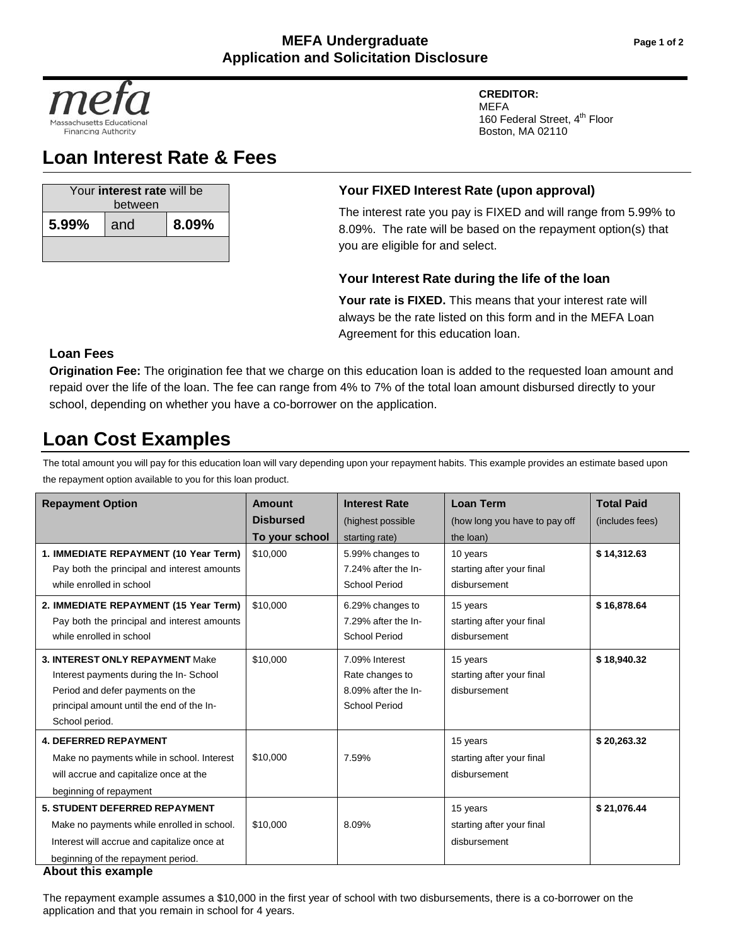

# **Loan Interest Rate & Fees**

| Your interest rate will be<br>between |     |       |  |  |
|---------------------------------------|-----|-------|--|--|
| 5.99%                                 | and | 8.09% |  |  |
|                                       |     |       |  |  |

#### **CREDITOR:** MEFA

160 Federal Street, 4<sup>th</sup> Floor Boston, MA 02110

## **Your FIXED Interest Rate (upon approval)**

The interest rate you pay is FIXED and will range from 5.99% to 8.09%. The rate will be based on the repayment option(s) that you are eligible for and select.

## **Your Interest Rate during the life of the loan**

Your rate is FIXED. This means that your interest rate will always be the rate listed on this form and in the MEFA Loan Agreement for this education loan.

## **Loan Fees**

**Origination Fee:** The origination fee that we charge on this education loan is added to the requested loan amount and repaid over the life of the loan. The fee can range from 4% to 7% of the total loan amount disbursed directly to your school, depending on whether you have a co-borrower on the application.

# **Loan Cost Examples**

The total amount you will pay for this education loan will vary depending upon your repayment habits. This example provides an estimate based upon the repayment option available to you for this loan product.

| <b>Repayment Option</b>                     | Amount           | <b>Interest Rate</b> | <b>Loan Term</b>              | <b>Total Paid</b> |
|---------------------------------------------|------------------|----------------------|-------------------------------|-------------------|
|                                             | <b>Disbursed</b> | (highest possible    | (how long you have to pay off | (includes fees)   |
|                                             | To your school   | starting rate)       | the loan)                     |                   |
| 1. IMMEDIATE REPAYMENT (10 Year Term)       | \$10,000         | 5.99% changes to     | 10 years                      | \$14,312.63       |
| Pay both the principal and interest amounts |                  | 7.24% after the In-  | starting after your final     |                   |
| while enrolled in school                    |                  | <b>School Period</b> | disbursement                  |                   |
| 2. IMMEDIATE REPAYMENT (15 Year Term)       | \$10,000         | 6.29% changes to     | 15 years                      | \$16,878.64       |
| Pay both the principal and interest amounts |                  | 7.29% after the In-  | starting after your final     |                   |
| while enrolled in school                    |                  | <b>School Period</b> | disbursement                  |                   |
| <b>3. INTEREST ONLY REPAYMENT Make</b>      | \$10.000         | 7.09% Interest       | 15 years                      | \$18,940.32       |
| Interest payments during the In-School      |                  | Rate changes to      | starting after your final     |                   |
| Period and defer payments on the            |                  | 8.09% after the In-  | disbursement                  |                   |
| principal amount until the end of the In-   |                  | <b>School Period</b> |                               |                   |
| School period.                              |                  |                      |                               |                   |
| <b>4. DEFERRED REPAYMENT</b>                |                  |                      | 15 years                      | \$20,263.32       |
| Make no payments while in school. Interest  | \$10,000         | 7.59%                | starting after your final     |                   |
| will accrue and capitalize once at the      |                  |                      | disbursement                  |                   |
| beginning of repayment                      |                  |                      |                               |                   |
| <b>5. STUDENT DEFERRED REPAYMENT</b>        |                  |                      | 15 years                      | \$21,076.44       |
| Make no payments while enrolled in school.  | \$10,000         | 8.09%                | starting after your final     |                   |
| Interest will accrue and capitalize once at |                  |                      | disbursement                  |                   |
| beginning of the repayment period.          |                  |                      |                               |                   |
| About this example                          |                  |                      |                               |                   |

The repayment example assumes a \$10,000 in the first year of school with two disbursements, there is a co-borrower on the application and that you remain in school for 4 years.